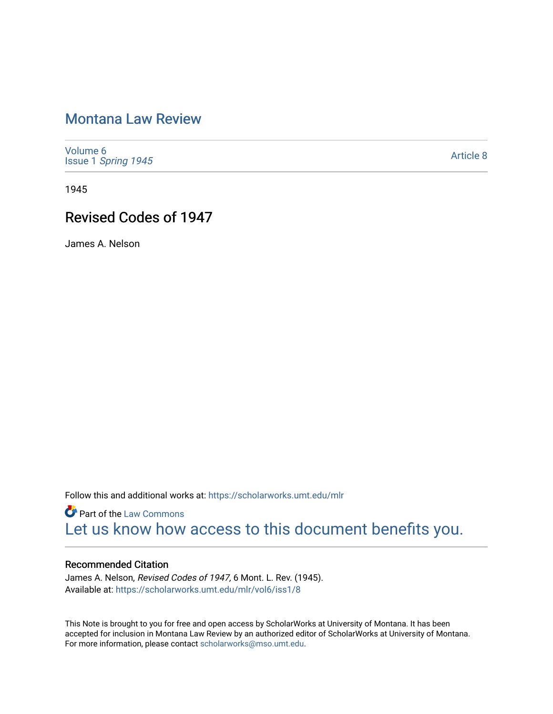# [Montana Law Review](https://scholarworks.umt.edu/mlr)

[Volume 6](https://scholarworks.umt.edu/mlr/vol6) Issue 1 [Spring 1945](https://scholarworks.umt.edu/mlr/vol6/iss1) 

[Article 8](https://scholarworks.umt.edu/mlr/vol6/iss1/8) 

1945

# Revised Codes of 1947

James A. Nelson

Follow this and additional works at: [https://scholarworks.umt.edu/mlr](https://scholarworks.umt.edu/mlr?utm_source=scholarworks.umt.edu%2Fmlr%2Fvol6%2Fiss1%2F8&utm_medium=PDF&utm_campaign=PDFCoverPages) 

**Part of the [Law Commons](http://network.bepress.com/hgg/discipline/578?utm_source=scholarworks.umt.edu%2Fmlr%2Fvol6%2Fiss1%2F8&utm_medium=PDF&utm_campaign=PDFCoverPages)** [Let us know how access to this document benefits you.](https://goo.gl/forms/s2rGfXOLzz71qgsB2) 

## Recommended Citation

James A. Nelson, Revised Codes of 1947, 6 Mont. L. Rev. (1945). Available at: [https://scholarworks.umt.edu/mlr/vol6/iss1/8](https://scholarworks.umt.edu/mlr/vol6/iss1/8?utm_source=scholarworks.umt.edu%2Fmlr%2Fvol6%2Fiss1%2F8&utm_medium=PDF&utm_campaign=PDFCoverPages)

This Note is brought to you for free and open access by ScholarWorks at University of Montana. It has been accepted for inclusion in Montana Law Review by an authorized editor of ScholarWorks at University of Montana. For more information, please contact [scholarworks@mso.umt.edu.](mailto:scholarworks@mso.umt.edu)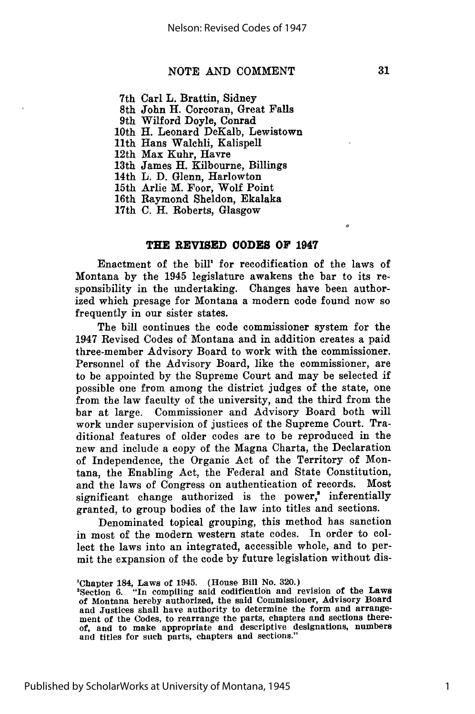#### **NOTE** AND COMMENT

7th Carl L. Brattin, Sidney

8th John H. Corcoran, Great Falls

9th Wilford Doyle, Conrad

10th H. Leonard DeKalb, Lewistown

11th Hans Walchli, Kalispell

12th Max Kuhr, Havre

13th James H. Kilbourne, Billings

14th L. D. Glenn, Harlowton

15th Arlie M. Foor, Wolf Point

16th Raymond Sheldon, Ekalaka

17th C. H. Roberts, Glasgow

#### **THE REVISED CODES OF 1947**

Enactment of the bill<sup>1</sup> for recodification of the laws of Montana **by** the 1945 legislature awakens the bar to its responsibility in the undertaking. Changes have been authorized which presage for Montana a modern code found now so frequently in our sister states.

The bill continues the code commissioner system for the 1947 Revised Codes of Montana and in addition creates a paid three-member Advisory Board to work with the commissioner. Personnel of the Advisory Board, like the commissioner, are to be appointed **by** the Supreme Court and may be selected if possible one from among the district judges of the state, one from the law faculty of the university, and the third from the bar at large. Commissioner and Advisory Board both will work under supervision of justices of the Supreme Court. Traditional features of older codes are to be reproduced in the new and include a copy of the Magna Charta, the Declaration of Independence, the Organic Act of the Territory of Montana, the Enabling Act, the Federal and State Constitution, and the laws of Congress on authentication of records. Most significant change authorized is the power,<sup>2</sup> inferentially granted, to group bodies of the law into titles and sections.

Denominated topical grouping, this method has sanction in most of the modern western state codes. In order to collect the laws into an integrated, accessible whole, and to permit the expansion of the code **by** future legislation without dis-

1

<sup>&#</sup>x27;Chapter 184, Laws of 1945. (House Bill No. **320.)** 2Section **6.** "In compiling said codification and revision of the Laws of Montana hereby authorized, the said Commissioner, Advisory Board and Justices shall have authority to determine the form and arrangement of the Codes, to rearrange the parts, chapters and sections there-of, and to make appropriate and descriptive designations, numbers and titles for such parts, chapters and sections."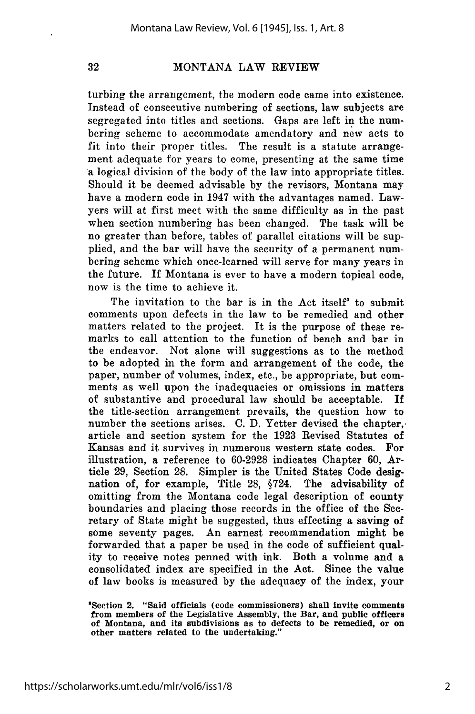32

### MONTANA LAW REVIEW

turbing the arrangement, the modern code came into existence. Instead of consecutive numbering of sections, law subjects are segregated into titles and sections. Gaps are left in the numbering scheme to accommodate amendatory and new acts to fit into their proper titles. The result is a statute arrangement adequate for years to come, presenting at the same time a logical division of the body of the law into appropriate titles. Should it be deemed advisable by the revisors, Montana may have a modern code in 1947 with the advantages named. Lawyers will at first meet with the same difficulty as in the past when section numbering has been changed. The task will be no greater than before, tables of parallel citations will be supplied, and the bar will have the security of a permanent numbering scheme which once-learned will serve for many years in the future. If Montana is ever to have a modern topical code, now is the time to achieve it.

The invitation to the bar is in the Act itself' to submit comments upon defects in the law to be remedied and other matters related to the project. It is the purpose of these remarks to call attention to the function of bench and bar in the endeavor. Not alone will suggestions as to the method to be adopted in the form and arrangement of the code, the paper, number of volumes, index, etc., be appropriate, but comments as well upon the inadequacies or omissions in matters of substantive and procedural law should be acceptable. If the title-section arrangement prevails, the question how to number the sections arises. C. D. Yetter devised the chapter, article and section system for the 1923 Revised Statutes of Kansas and it survives in numerous western state codes. For illustration, a reference to 60-2928 indicates Chapter 60, Article 29, Section 28. Simpler is the United States Code designation of, for example, Title 28, §724. The advisability of omitting from the Montana code legal description of county boundaries and placing those records in the office of the Secretary of State might be suggested, thus effecting a saving of some seventy pages. An earnest recommendation might be forwarded that a paper be used in the code of sufficient quality to receive notes penned with ink. Both a volume and a consolidated index are specified in the Act. Since the value of law books is measured by the adequacy of the index, your

<sup>&#</sup>x27;Section 2. "Said officials (code commissioners) shall Invite comments from members of the Legislative Assembly, the Bar, and public officers of Montana, and its subdivisions as to defects to be remedied, or on other matters related to the undertaking."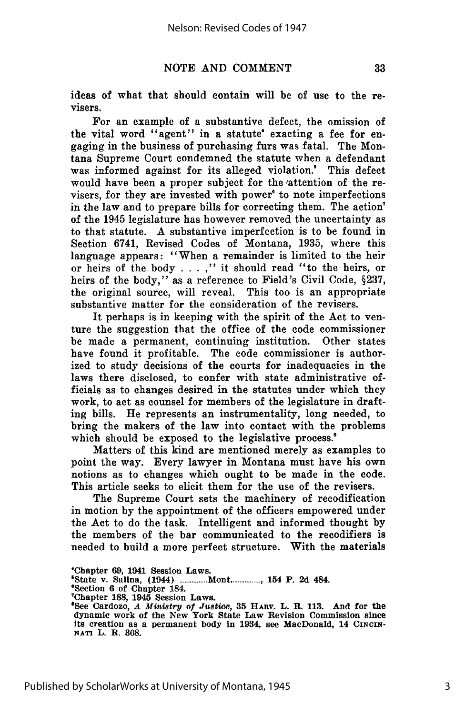ideas of what that should contain will be of use to the revisers.

For an example of a substantive defect, the omission of the vital word "agent" in a statute' exacting a fee for engaging in the business of purchasing furs was fatal. The Montana Supreme Court condemned the statute when a defendant was informed against for its alleged violation.' This defect would have been a proper subject for the 'attention of the revisers, for they are invested with power' to note imperfections in the law and to prepare bills **for** correcting them. The action of the 1945 legislature has however removed the uncertainty as to that statute. A substantive imperfection is to be found in Section 6741, Revised Codes of Montana, **1935,** where this language appears: "When a remainder is limited to the heir or heirs of the body **. . . ,"** it should read "to the heirs, or heirs of the body," as a reference to Field's Civil Code, **§237,** the original source, will reveal. This too is an appropriate substantive matter for the consideration of the revisers.

It perhaps is in keeping with the spirit of the Act to venture the suggestion that the office of the code commissioner be made a permanent, continuing institution. Other states have found it profitable. The code commissioner is authorized to study decisions of the courts for inadequacies in the laws there disclosed, to confer with state administrative officials as to changes desired in the statutes under which they work, to act as counsel for members of the legislature in drafting bills. He represents an instrumentality, long needed, to bring the makers of the law into contact with the problems which should be exposed to the legislative process.<sup>8</sup>

Matters of this kind are mentioned merely as examples to point the way. Every lawyer in Montana must have his own notions as to changes which ought to be made in the code. This article seeks to elicit them for the use of the revisers.

The Supreme Court sets the machinery of recodification in motion **by** the appointment of the officers empowered under the Act to do the task. Intelligent and informed thought **by** the members of the bar communicated to the recodifiers is needed to build a more perfect structure. With the materials

<sup>&#</sup>x27;Chapter **69,** 1941 Session Laws.

<sup>\*</sup>State v. Salina, (1944) ............ Mont............, 154 P. 2d 484.

<sup>&#</sup>x27;Section **6** of Chapter 184. TChapter **188, 1945** Session Laws.

<sup>&</sup>lt;sup>8</sup>See Cardozo, *A Ministry of Justice*, 35 HARV. L. R. 113. And for the dynamic work of the New York State Law Revision Commission since its creation as a permanent body in 1934, see MacDonald, 14 CINCIN-**NATi** L. R. **308.**